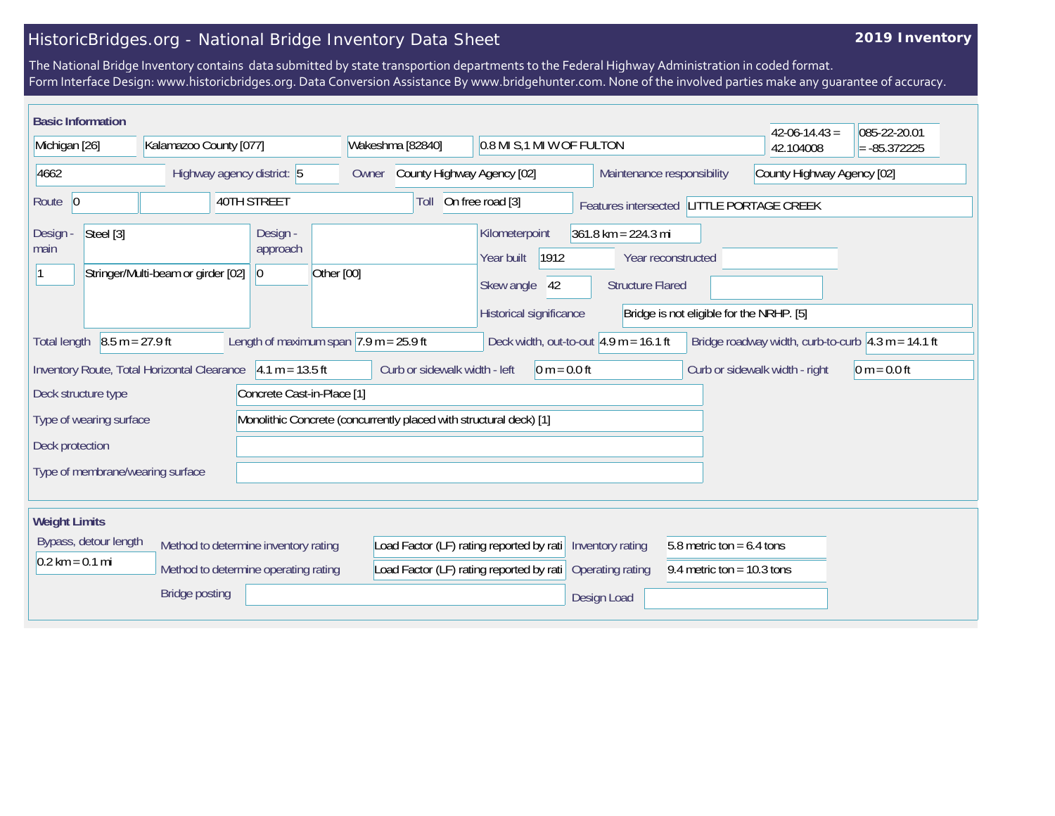## HistoricBridges.org - National Bridge Inventory Data Sheet

## **2019 Inventory**

The National Bridge Inventory contains data submitted by state transportion departments to the Federal Highway Administration in coded format. Form Interface Design: www.historicbridges.org. Data Conversion Assistance By www.bridgehunter.com. None of the involved parties make any guarantee of accuracy.

| <b>Basic Information</b>                                                                                                                                                                                                  |                                             |                                                      |                                                                    |                                                                                     |                                                                        |                                          | $42 - 06 - 14.43 =$            | 085-22-20.01   |
|---------------------------------------------------------------------------------------------------------------------------------------------------------------------------------------------------------------------------|---------------------------------------------|------------------------------------------------------|--------------------------------------------------------------------|-------------------------------------------------------------------------------------|------------------------------------------------------------------------|------------------------------------------|--------------------------------|----------------|
| Kalamazoo County [077]<br>Michigan [26]                                                                                                                                                                                   |                                             |                                                      | Wakeshma [82840]                                                   |                                                                                     | 0.8 MI S,1 MI W OF FULTON                                              |                                          | 42.104008                      | $= -85.372225$ |
| 4662<br>Highway agency district: 5                                                                                                                                                                                        |                                             | Owner                                                | County Highway Agency [02]<br>Maintenance responsibility           |                                                                                     |                                                                        | County Highway Agency [02]               |                                |                |
| 40TH STREET<br>Route $ 0$                                                                                                                                                                                                 |                                             |                                                      | Toll                                                               | On free road [3]                                                                    | Features intersected LITTLE PORTAGE CREEK                              |                                          |                                |                |
| Steel [3]<br>Design -<br>main                                                                                                                                                                                             | Stringer/Multi-beam or girder [02]          | Design -<br>approach<br>Other [00]<br>$\overline{0}$ |                                                                    | Kilometerpoint<br>1912<br>Year built<br>42<br>Skew angle<br>Historical significance | $361.8$ km = 224.3 mi<br>Year reconstructed<br><b>Structure Flared</b> | Bridge is not eligible for the NRHP. [5] |                                |                |
| $8.5 m = 27.9 ft$<br>Length of maximum span $ 7.9 \text{ m} = 25.9 \text{ ft} $<br>Deck width, out-to-out $4.9$ m = 16.1 ft<br>Bridge roadway width, curb-to-curb $\vert 4.3 \text{ m} = 14.1 \text{ ft}$<br>Total length |                                             |                                                      |                                                                    |                                                                                     |                                                                        |                                          |                                |                |
| Deck structure type                                                                                                                                                                                                       | Inventory Route, Total Horizontal Clearance | $4.1 m = 13.5 ft$<br>Concrete Cast-in-Place [1]      | Curb or sidewalk width - left                                      | $0 m = 0.0 ft$                                                                      |                                                                        |                                          | Curb or sidewalk width - right | $0 m = 0.0 ft$ |
| Type of wearing surface<br>Deck protection                                                                                                                                                                                |                                             |                                                      | Monolithic Concrete (concurrently placed with structural deck) [1] |                                                                                     |                                                                        |                                          |                                |                |
| Type of membrane/wearing surface                                                                                                                                                                                          |                                             |                                                      |                                                                    |                                                                                     |                                                                        |                                          |                                |                |
| <b>Weight Limits</b>                                                                                                                                                                                                      |                                             |                                                      |                                                                    |                                                                                     |                                                                        |                                          |                                |                |
| Bypass, detour length<br>Method to determine inventory rating<br>$0.2 \text{ km} = 0.1 \text{ mi}$<br>Method to determine operating rating<br><b>Bridge posting</b>                                                       |                                             | Load Factor (LF) rating reported by rati             | Load Factor (LF) rating reported by rati Inventory rating          | <b>Operating rating</b>                                                             | 5.8 metric ton = $6.4$ tons<br>9.4 metric ton = $10.3$ tons            |                                          |                                |                |
|                                                                                                                                                                                                                           |                                             |                                                      |                                                                    |                                                                                     | Design Load                                                            |                                          |                                |                |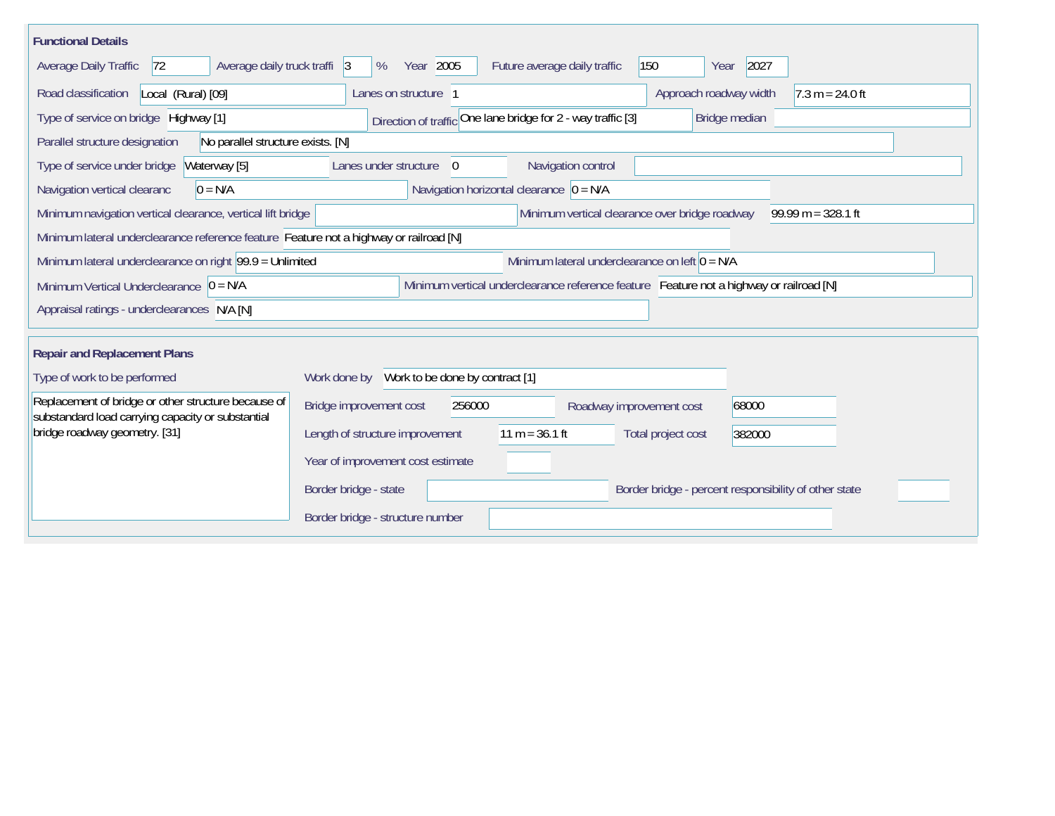| <b>Functional Details</b>                                                                                |                                                                                                              |                                                      |                              |                   |  |  |  |
|----------------------------------------------------------------------------------------------------------|--------------------------------------------------------------------------------------------------------------|------------------------------------------------------|------------------------------|-------------------|--|--|--|
| Average Daily Traffic<br>Average daily truck traffi 3<br> 72                                             | Year 2005<br>%                                                                                               | Future average daily traffic                         | 150<br>2027<br>Year          |                   |  |  |  |
| Road classification<br>Local (Rural) [09]                                                                | Lanes on structure 1                                                                                         |                                                      | Approach roadway width       | $7.3 m = 24.0 ft$ |  |  |  |
| Type of service on bridge Highway [1]                                                                    | Direction of traffic One lane bridge for 2 - way traffic [3]<br>Bridge median                                |                                                      |                              |                   |  |  |  |
| No parallel structure exists. [N]<br>Parallel structure designation                                      |                                                                                                              |                                                      |                              |                   |  |  |  |
| Type of service under bridge<br>Waterway [5]                                                             | Lanes under structure<br>$\overline{0}$                                                                      | Navigation control                                   |                              |                   |  |  |  |
| Navigation vertical clearanc<br>$0 = N/A$                                                                |                                                                                                              | Navigation horizontal clearance $\overline{0} = N/A$ |                              |                   |  |  |  |
| Minimum navigation vertical clearance, vertical lift bridge                                              | Minimum vertical clearance over bridge roadway<br>$99.99 m = 328.1 ft$                                       |                                                      |                              |                   |  |  |  |
| Minimum lateral underclearance reference feature Feature not a highway or railroad [N]                   |                                                                                                              |                                                      |                              |                   |  |  |  |
|                                                                                                          | Minimum lateral underclearance on left $0 = N/A$<br>Minimum lateral underclearance on right 99.9 = Unlimited |                                                      |                              |                   |  |  |  |
| Minimum Vertical Underclearance $ 0 = N/A $                                                              | Minimum vertical underclearance reference feature Feature not a highway or railroad [N]                      |                                                      |                              |                   |  |  |  |
| Appraisal ratings - underclearances N/A [N]                                                              |                                                                                                              |                                                      |                              |                   |  |  |  |
|                                                                                                          |                                                                                                              |                                                      |                              |                   |  |  |  |
| <b>Repair and Replacement Plans</b>                                                                      |                                                                                                              |                                                      |                              |                   |  |  |  |
| Type of work to be performed                                                                             | Work done by Work to be done by contract [1]                                                                 |                                                      |                              |                   |  |  |  |
| Replacement of bridge or other structure because of<br>substandard load carrying capacity or substantial | Bridge improvement cost<br>256000                                                                            | Roadway improvement cost                             | 68000                        |                   |  |  |  |
| bridge roadway geometry. [31]                                                                            | Length of structure improvement                                                                              | $11 m = 36.1 ft$                                     | Total project cost<br>382000 |                   |  |  |  |
|                                                                                                          | Year of improvement cost estimate                                                                            |                                                      |                              |                   |  |  |  |
|                                                                                                          | Border bridge - state<br>Border bridge - percent responsibility of other state                               |                                                      |                              |                   |  |  |  |
|                                                                                                          | Border bridge - structure number                                                                             |                                                      |                              |                   |  |  |  |